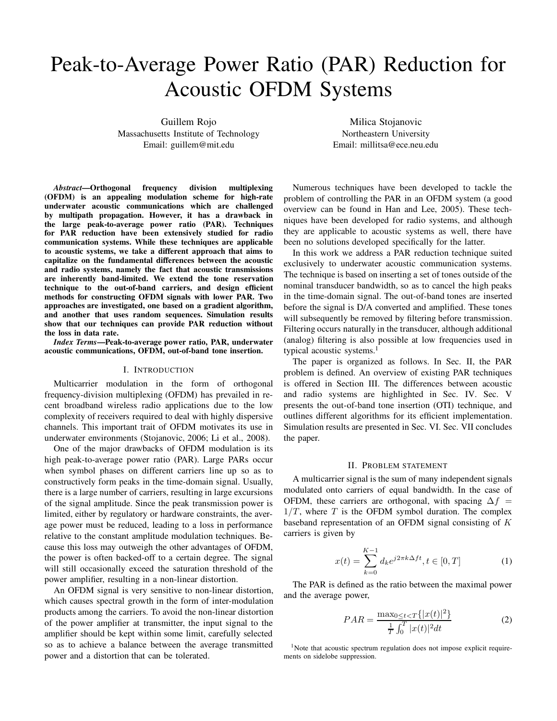# Peak-to-Average Power Ratio (PAR) Reduction for Acoustic OFDM Systems

Guillem Rojo Massachusetts Institute of Technology Email: guillem@mit.edu

Abstract—Orthogonal frequency division multiplexing (OFDM) is an appealing modulation scheme for high-rate underwater acoustic communications which are challenged by multipath propagation. However, it has a drawback in the large peak-to-average power ratio (PAR). Techniques for PAR reduction have been extensively studied for radio communication systems. While these techniques are applicable to acoustic systems, we take a different approach that aims to capitalize on the fundamental differences between the acoustic and radio systems, namely the fact that acoustic transmissions are inherently band-limited. We extend the tone reservation technique to the out-of-band carriers, and design efficient methods for constructing OFDM signals with lower PAR. Two approaches are investigated, one based on a gradient algorithm, and another that uses random sequences. Simulation results show that our techniques can provide PAR reduction without the loss in data rate.

Index Terms—Peak-to-average power ratio, PAR, underwater acoustic communications, OFDM, out-of-band tone insertion.

## I. INTRODUCTION

Multicarrier modulation in the form of orthogonal frequency-division multiplexing (OFDM) has prevailed in recent broadband wireless radio applications due to the low complexity of receivers required to deal with highly dispersive channels. This important trait of OFDM motivates its use in underwater environments (Stojanovic, 2006; Li et al., 2008).

One of the major drawbacks of OFDM modulation is its high peak-to-average power ratio (PAR). Large PARs occur when symbol phases on different carriers line up so as to constructively form peaks in the time-domain signal. Usually, there is a large number of carriers, resulting in large excursions of the signal amplitude. Since the peak transmission power is limited, either by regulatory or hardware constraints, the average power must be reduced, leading to a loss in performance relative to the constant amplitude modulation techniques. Because this loss may outweigh the other advantages of OFDM, the power is often backed-off to a certain degree. The signal will still occasionally exceed the saturation threshold of the power amplifier, resulting in a non-linear distortion.

An OFDM signal is very sensitive to non-linear distortion, which causes spectral growth in the form of inter-modulation products among the carriers. To avoid the non-linear distortion of the power amplifier at transmitter, the input signal to the amplifier should be kept within some limit, carefully selected so as to achieve a balance between the average transmitted power and a distortion that can be tolerated.

Milica Stojanovic Northeastern University Email: millitsa@ece.neu.edu

Numerous techniques have been developed to tackle the problem of controlling the PAR in an OFDM system (a good overview can be found in Han and Lee, 2005). These techniques have been developed for radio systems, and although they are applicable to acoustic systems as well, there have been no solutions developed specifically for the latter.

In this work we address a PAR reduction technique suited exclusively to underwater acoustic communication systems. The technique is based on inserting a set of tones outside of the nominal transducer bandwidth, so as to cancel the high peaks in the time-domain signal. The out-of-band tones are inserted before the signal is D/A converted and amplified. These tones will subsequently be removed by filtering before transmission. Filtering occurs naturally in the transducer, although additional (analog) filtering is also possible at low frequencies used in typical acoustic systems.<sup>1</sup>

The paper is organized as follows. In Sec. II, the PAR problem is defined. An overview of existing PAR techniques is offered in Section III. The differences between acoustic and radio systems are highlighted in Sec. IV. Sec. V presents the out-of-band tone insertion (OTI) technique, and outlines different algorithms for its efficient implementation. Simulation results are presented in Sec. VI. Sec. VII concludes the paper.

### II. PROBLEM STATEMENT

A multicarrier signal is the sum of many independent signals modulated onto carriers of equal bandwidth. In the case of OFDM, these carriers are orthogonal, with spacing  $\Delta f =$  $1/T$ , where T is the OFDM symbol duration. The complex baseband representation of an OFDM signal consisting of  $K$ carriers is given by

$$
x(t) = \sum_{k=0}^{K-1} d_k e^{j2\pi k \Delta ft}, t \in [0, T]
$$
 (1)

The PAR is defined as the ratio between the maximal power and the average power,

$$
PAR = \frac{\max_{0 \le t < T} \{|x(t)|^2\}}{\frac{1}{T} \int_0^T |x(t)|^2 dt} \tag{2}
$$

<sup>1</sup>Note that acoustic spectrum regulation does not impose explicit requirements on sidelobe suppression.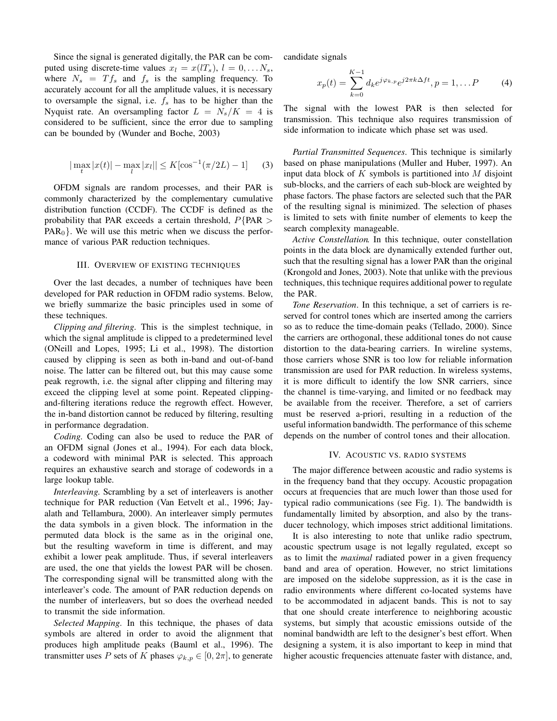Since the signal is generated digitally, the PAR can be computed using discrete-time values  $x_l = x(lT_s), l = 0, \ldots N_s$ , where  $N_s = Tf_s$  and  $f_s$  is the sampling frequency. To accurately account for all the amplitude values, it is necessary to oversample the signal, i.e.  $f_s$  has to be higher than the Nyquist rate. An oversampling factor  $L = N_s/K = 4$  is considered to be sufficient, since the error due to sampling can be bounded by (Wunder and Boche, 2003)

$$
|\max_{t} |x(t)| - \max_{l} |x_{l}| \le K[\cos^{-1}(\pi/2L) - 1] \tag{3}
$$

OFDM signals are random processes, and their PAR is commonly characterized by the complementary cumulative distribution function (CCDF). The CCDF is defined as the probability that PAR exceeds a certain threshold,  $P$ {PAR >  $PAR<sub>0</sub>$ . We will use this metric when we discuss the performance of various PAR reduction techniques.

## III. OVERVIEW OF EXISTING TECHNIQUES

Over the last decades, a number of techniques have been developed for PAR reduction in OFDM radio systems. Below, we briefly summarize the basic principles used in some of these techniques.

Clipping and filtering. This is the simplest technique, in which the signal amplitude is clipped to a predetermined level (ONeill and Lopes, 1995; Li et al., 1998). The distortion caused by clipping is seen as both in-band and out-of-band noise. The latter can be filtered out, but this may cause some peak regrowth, i.e. the signal after clipping and filtering may exceed the clipping level at some point. Repeated clippingand-filtering iterations reduce the regrowth effect. However, the in-band distortion cannot be reduced by filtering, resulting in performance degradation.

Coding. Coding can also be used to reduce the PAR of an OFDM signal (Jones et al., 1994). For each data block, a codeword with minimal PAR is selected. This approach requires an exhaustive search and storage of codewords in a large lookup table.

Interleaving. Scrambling by a set of interleavers is another technique for PAR reduction (Van Eetvelt et al., 1996; Jayalath and Tellambura, 2000). An interleaver simply permutes the data symbols in a given block. The information in the permuted data block is the same as in the original one, but the resulting waveform in time is different, and may exhibit a lower peak amplitude. Thus, if several interleavers are used, the one that yields the lowest PAR will be chosen. The corresponding signal will be transmitted along with the interleaver's code. The amount of PAR reduction depends on the number of interleavers, but so does the overhead needed to transmit the side information.

Selected Mapping. In this technique, the phases of data symbols are altered in order to avoid the alignment that produces high amplitude peaks (Bauml et al., 1996). The transmitter uses P sets of K phases  $\varphi_{k,p} \in [0, 2\pi]$ , to generate candidate signals

$$
x_p(t) = \sum_{k=0}^{K-1} d_k e^{j\varphi_{k,p}} e^{j2\pi k \Delta ft}, p = 1, \dots P
$$
 (4)

The signal with the lowest PAR is then selected for transmission. This technique also requires transmission of side information to indicate which phase set was used.

Partial Transmitted Sequences. This technique is similarly based on phase manipulations (Muller and Huber, 1997). An input data block of  $K$  symbols is partitioned into  $M$  disjoint sub-blocks, and the carriers of each sub-block are weighted by phase factors. The phase factors are selected such that the PAR of the resulting signal is minimized. The selection of phases is limited to sets with finite number of elements to keep the search complexity manageable.

Active Constellation. In this technique, outer constellation points in the data block are dynamically extended further out, such that the resulting signal has a lower PAR than the original (Krongold and Jones, 2003). Note that unlike with the previous techniques, this technique requires additional power to regulate the PAR.

Tone Reservation. In this technique, a set of carriers is reserved for control tones which are inserted among the carriers so as to reduce the time-domain peaks (Tellado, 2000). Since the carriers are orthogonal, these additional tones do not cause distortion to the data-bearing carriers. In wireline systems, those carriers whose SNR is too low for reliable information transmission are used for PAR reduction. In wireless systems, it is more difficult to identify the low SNR carriers, since the channel is time-varying, and limited or no feedback may be available from the receiver. Therefore, a set of carriers must be reserved a-priori, resulting in a reduction of the useful information bandwidth. The performance of this scheme depends on the number of control tones and their allocation.

### IV. ACOUSTIC VS. RADIO SYSTEMS

The major difference between acoustic and radio systems is in the frequency band that they occupy. Acoustic propagation occurs at frequencies that are much lower than those used for typical radio communications (see Fig. 1). The bandwidth is fundamentally limited by absorption, and also by the transducer technology, which imposes strict additional limitations.

It is also interesting to note that unlike radio spectrum, acoustic spectrum usage is not legally regulated, except so as to limit the maximal radiated power in a given frequency band and area of operation. However, no strict limitations are imposed on the sidelobe suppression, as it is the case in radio environments where different co-located systems have to be accommodated in adjacent bands. This is not to say that one should create interference to neighboring acoustic systems, but simply that acoustic emissions outside of the nominal bandwidth are left to the designer's best effort. When designing a system, it is also important to keep in mind that higher acoustic frequencies attenuate faster with distance, and,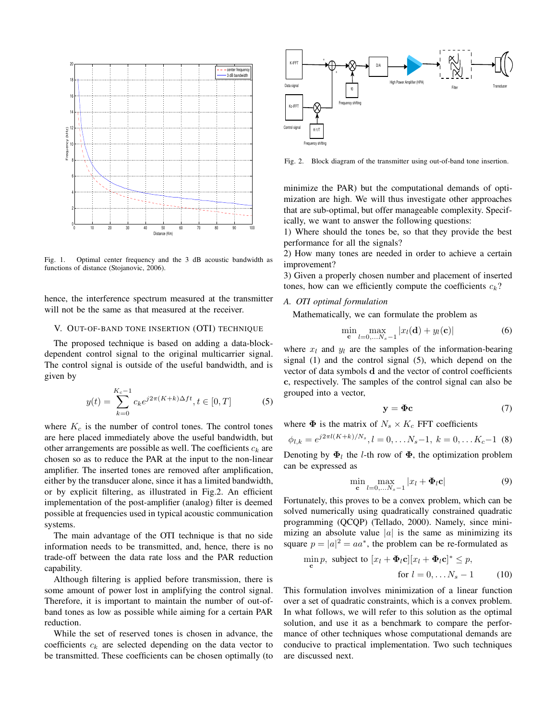

Fig. 1. Optimal center frequency and the 3 dB acoustic bandwidth as functions of distance (Stojanovic, 2006).

hence, the interference spectrum measured at the transmitter will not be the same as that measured at the receiver.

## V. OUT-OF-BAND TONE INSERTION (OTI) TECHNIQUE

The proposed technique is based on adding a data-blockdependent control signal to the original multicarrier signal. The control signal is outside of the useful bandwidth, and is given by

$$
y(t) = \sum_{k=0}^{K_c - 1} c_k e^{j2\pi (K + k)\Delta ft}, t \in [0, T]
$$
 (5)

where  $K_c$  is the number of control tones. The control tones are here placed immediately above the useful bandwidth, but other arrangements are possible as well. The coefficients  $c_k$  are chosen so as to reduce the PAR at the input to the non-linear amplifier. The inserted tones are removed after amplification, either by the transducer alone, since it has a limited bandwidth, or by explicit filtering, as illustrated in Fig.2. An efficient implementation of the post-amplifier (analog) filter is deemed possible at frequencies used in typical acoustic communication systems.

The main advantage of the OTI technique is that no side information needs to be transmitted, and, hence, there is no trade-off between the data rate loss and the PAR reduction capability.

Although filtering is applied before transmission, there is some amount of power lost in amplifying the control signal. Therefore, it is important to maintain the number of out-ofband tones as low as possible while aiming for a certain PAR reduction.

While the set of reserved tones is chosen in advance, the coefficients  $c_k$  are selected depending on the data vector to be transmitted. These coefficients can be chosen optimally (to



Fig. 2. Block diagram of the transmitter using out-of-band tone insertion.

minimize the PAR) but the computational demands of optimization are high. We will thus investigate other approaches that are sub-optimal, but offer manageable complexity. Specifically, we want to answer the following questions:

1) Where should the tones be, so that they provide the best performance for all the signals?

2) How many tones are needed in order to achieve a certain improvement?

3) Given a properly chosen number and placement of inserted tones, how can we efficiently compute the coefficients  $c_k$ ?

# A. OTI optimal formulation

Mathematically, we can formulate the problem as

$$
\min_{\mathbf{c}} \max_{l=0,\ldots,N_s-1} |x_l(\mathbf{d}) + y_l(\mathbf{c})| \tag{6}
$$

where  $x_l$  and  $y_l$  are the samples of the information-bearing signal (1) and the control signal (5), which depend on the vector of data symbols d and the vector of control coefficients c, respectively. The samples of the control signal can also be grouped into a vector,

$$
y = \Phi c \tag{7}
$$

where  $\Phi$  is the matrix of  $N_s \times K_c$  FFT coefficients

$$
\phi_{l,k} = e^{j2\pi l(K+k)/N_s}, l = 0, \dots N_s - 1, k = 0, \dots K_c - 1
$$
 (8)

Denoting by  $\Phi_l$  the *l*-th row of  $\Phi$ , the optimization problem can be expressed as

$$
\min_{\mathbf{c}} \max_{l=0,\ldots,N_s-1} |x_l + \mathbf{\Phi}_l \mathbf{c}| \tag{9}
$$

Fortunately, this proves to be a convex problem, which can be solved numerically using quadratically constrained quadratic programming (QCQP) (Tellado, 2000). Namely, since minimizing an absolute value  $|a|$  is the same as minimizing its square  $p = |a|^2 = aa^*$ , the problem can be re-formulated as

$$
\min_{\mathbf{c}} p, \text{ subject to } [x_l + \Phi_l \mathbf{c}][x_l + \Phi_l \mathbf{c}]^* \leq p,
$$
  
for  $l = 0, \dots N_s - 1$  (10)

This formulation involves minimization of a linear function over a set of quadratic constraints, which is a convex problem. In what follows, we will refer to this solution as the optimal solution, and use it as a benchmark to compare the performance of other techniques whose computational demands are conducive to practical implementation. Two such techniques are discussed next.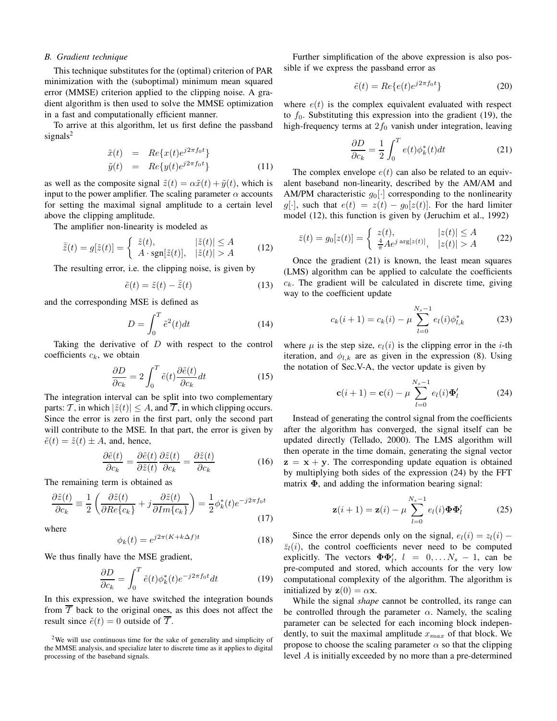## B. Gradient technique

This technique substitutes for the (optimal) criterion of PAR minimization with the (suboptimal) minimum mean squared error (MMSE) criterion applied to the clipping noise. A gradient algorithm is then used to solve the MMSE optimization in a fast and computationally efficient manner.

To arrive at this algorithm, let us first define the passband signals<sup>2</sup>

$$
\tilde{x}(t) = Re\{x(t)e^{j2\pi f_0 t}\}\
$$
  

$$
\tilde{y}(t) = Re\{y(t)e^{j2\pi f_0 t}\}\
$$
 (11)

as well as the composite signal  $\tilde{z}(t) = \alpha \tilde{x}(t) + \tilde{y}(t)$ , which is input to the power amplifier. The scaling parameter  $\alpha$  accounts for setting the maximal signal amplitude to a certain level above the clipping amplitude.

The amplifier non-linearity is modeled as

$$
\bar{\tilde{z}}(t) = g[\tilde{z}(t)] = \begin{cases} \tilde{z}(t), & |\tilde{z}(t)| \le A \\ A \cdot \text{sgn}[\tilde{z}(t)], & |\tilde{z}(t)| > A \end{cases}
$$
(12)

The resulting error, i.e. the clipping noise, is given by

$$
\tilde{e}(t) = \tilde{z}(t) - \overline{\tilde{z}}(t)
$$
\n(13)

and the corresponding MSE is defined as

$$
D = \int_0^T \tilde{e}^2(t)dt
$$
 (14)

Taking the derivative of  $D$  with respect to the control coefficients  $c_k$ , we obtain

$$
\frac{\partial D}{\partial c_k} = 2 \int_0^T \tilde{e}(t) \frac{\partial \tilde{e}(t)}{\partial c_k} dt \tag{15}
$$

The integration interval can be split into two complementary parts: T, in which  $|\tilde{z}(t)| \leq A$ , and  $\overline{T}$ , in which clipping occurs. Since the error is zero in the first part, only the second part will contribute to the MSE. In that part, the error is given by  $\tilde{e}(t) = \tilde{z}(t) \pm A$ , and, hence,

$$
\frac{\partial \tilde{e}(t)}{\partial c_k} = \frac{\partial \tilde{e}(t)}{\partial \tilde{z}(t)} \frac{\partial \tilde{z}(t)}{\partial c_k} = \frac{\partial \tilde{z}(t)}{\partial c_k}
$$
(16)

The remaining term is obtained as

$$
\frac{\partial \tilde{z}(t)}{\partial c_k} \equiv \frac{1}{2} \left( \frac{\partial \tilde{z}(t)}{\partial Re\{c_k\}} + j \frac{\partial \tilde{z}(t)}{\partial Im\{c_k\}} \right) = \frac{1}{2} \phi_k^*(t) e^{-j2\pi f_0 t}
$$
\n(17)

where

$$
\phi_k(t) = e^{j2\pi (K + k\Delta f)t} \tag{18}
$$

We thus finally have the MSE gradient,

$$
\frac{\partial D}{\partial c_k} = \int_0^T \tilde{e}(t)\phi_k^*(t)e^{-j2\pi f_0 t}dt
$$
\n(19)

In this expression, we have switched the integration bounds from  $\overline{T}$  back to the original ones, as this does not affect the result since  $\tilde{e}(t) = 0$  outside of  $\overline{T}$ .

 $2$ We will use continuous time for the sake of generality and simplicity of the MMSE analysis, and specialize later to discrete time as it applies to digital processing of the baseband signals.

Further simplification of the above expression is also possible if we express the passband error as

$$
\tilde{e}(t) = Re\{e(t)e^{j2\pi f_0 t}\}\tag{20}
$$

where  $e(t)$  is the complex equivalent evaluated with respect to  $f_0$ . Substituting this expression into the gradient (19), the high-frequency terms at  $2f_0$  vanish under integration, leaving

$$
\frac{\partial D}{\partial c_k} = \frac{1}{2} \int_0^T e(t) \phi_k^*(t) dt \tag{21}
$$

The complex envelope  $e(t)$  can also be related to an equivalent baseband non-linearity, described by the AM/AM and AM/PM characteristic  $q_0[\cdot]$  corresponding to the nonlinearity g[·], such that  $e(t) = z(t) - g_0[z(t)]$ . For the hard limiter model (12), this function is given by (Jeruchim et al., 1992)

$$
\bar{z}(t) = g_0[z(t)] = \begin{cases} z(t), & |z(t)| \le A \\ \frac{4}{\pi} A e^{j \arg[z(t)]}, & |z(t)| > A \end{cases} \tag{22}
$$

Once the gradient (21) is known, the least mean squares (LMS) algorithm can be applied to calculate the coefficients  $c_k$ . The gradient will be calculated in discrete time, giving way to the coefficient update

$$
c_k(i+1) = c_k(i) - \mu \sum_{l=0}^{N_s - 1} e_l(i) \phi_{l,k}^*
$$
 (23)

where  $\mu$  is the step size,  $e_l(i)$  is the clipping error in the *i*-th iteration, and  $\phi_{l,k}$  are as given in the expression (8). Using the notation of Sec.V-A, the vector update is given by

$$
\mathbf{c}(i+1) = \mathbf{c}(i) - \mu \sum_{l=0}^{N_s - 1} e_l(i) \mathbf{\Phi}'_l \tag{24}
$$

Instead of generating the control signal from the coefficients after the algorithm has converged, the signal itself can be updated directly (Tellado, 2000). The LMS algorithm will then operate in the time domain, generating the signal vector  $z = x + y$ . The corresponding update equation is obtained by multiplying both sides of the expression (24) by the FFT matrix  $\Phi$ , and adding the information bearing signal:

$$
\mathbf{z}(i+1) = \mathbf{z}(i) - \mu \sum_{l=0}^{N_s - 1} e_l(i) \mathbf{\Phi} \mathbf{\Phi}'_l \tag{25}
$$

Since the error depends only on the signal,  $e_l(i) = z_l(i)$  –  $\overline{z}_l(i)$ , the control coefficients never need to be computed explicitly. The vectors  $\mathbf{\Phi} \mathbf{\Phi}'_l$ ,  $l = 0, \ldots N_s - 1$ , can be pre-computed and stored, which accounts for the very low computational complexity of the algorithm. The algorithm is initialized by  $z(0) = \alpha x$ .

While the signal *shape* cannot be controlled, its range can be controlled through the parameter  $\alpha$ . Namely, the scaling parameter can be selected for each incoming block independently, to suit the maximal amplitude  $x_{max}$  of that block. We propose to choose the scaling parameter  $\alpha$  so that the clipping level A is initially exceeded by no more than a pre-determined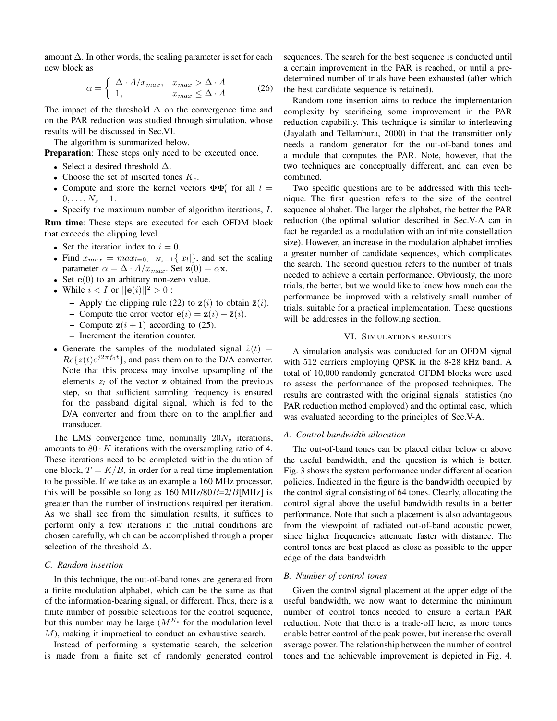amount  $\Delta$ . In other words, the scaling parameter is set for each new block as

$$
\alpha = \begin{cases} \Delta \cdot A / x_{max}, & x_{max} > \Delta \cdot A \\ 1, & x_{max} \leq \Delta \cdot A \end{cases}
$$
 (26)

The impact of the threshold  $\Delta$  on the convergence time and on the PAR reduction was studied through simulation, whose results will be discussed in Sec.VI.

The algorithm is summarized below.

**Preparation:** These steps only need to be executed once.

- Select a desired threshold  $\Delta$ .
- Choose the set of inserted tones  $K_c$ .
- Compute and store the kernel vectors  $\Phi \Phi'_{l}$  for all  $l =$  $0, \ldots, N_s - 1.$

• Specify the maximum number of algorithm iterations, I.

Run time: These steps are executed for each OFDM block that exceeds the clipping level.

- Set the iteration index to  $i = 0$ .
- Find  $x_{max} = max_{l=0,...N_s-1} \{|x_l|\}$ , and set the scaling parameter  $\alpha = \Delta \cdot A/x_{max}$ . Set  $\mathbf{z}(0) = \alpha \mathbf{x}$ .
- Set  $e(0)$  to an arbitrary non-zero value.
- While  $i < I$  or  $||e(i)||^2 > 0$ :
	- Apply the clipping rule (22) to  $z(i)$  to obtain  $\bar{z}(i)$ .
	- Compute the error vector  $e(i) = z(i) \bar{z}(i)$ .
	- Compute  $z(i + 1)$  according to (25).
	- Increment the iteration counter.
- Generate the samples of the modulated signal  $\tilde{z}(t)$  =  $Re\{z(t)e^{j2\pi f_0 t}\}\$ , and pass them on to the D/A converter. Note that this process may involve upsampling of the elements  $z_l$  of the vector **z** obtained from the previous step, so that sufficient sampling frequency is ensured for the passband digital signal, which is fed to the D/A converter and from there on to the amplifier and transducer.

The LMS convergence time, nominally  $20N_s$  iterations, amounts to  $80 \cdot K$  iterations with the oversampling ratio of 4. These iterations need to be completed within the duration of one block,  $T = K/B$ , in order for a real time implementation to be possible. If we take as an example a 160 MHz processor, this will be possible so long as  $160 \text{ MHz}/80B = 2/B[\text{MHz}]$  is greater than the number of instructions required per iteration. As we shall see from the simulation results, it suffices to perform only a few iterations if the initial conditions are chosen carefully, which can be accomplished through a proper selection of the threshold  $\Delta$ .

# C. Random insertion

In this technique, the out-of-band tones are generated from a finite modulation alphabet, which can be the same as that of the information-bearing signal, or different. Thus, there is a finite number of possible selections for the control sequence, but this number may be large  $(M^{K_c}$  for the modulation level M), making it impractical to conduct an exhaustive search.

Instead of performing a systematic search, the selection is made from a finite set of randomly generated control sequences. The search for the best sequence is conducted until a certain improvement in the PAR is reached, or until a predetermined number of trials have been exhausted (after which the best candidate sequence is retained).

Random tone insertion aims to reduce the implementation complexity by sacrificing some improvement in the PAR reduction capability. This technique is similar to interleaving (Jayalath and Tellambura, 2000) in that the transmitter only needs a random generator for the out-of-band tones and a module that computes the PAR. Note, however, that the two techniques are conceptually different, and can even be combined.

Two specific questions are to be addressed with this technique. The first question refers to the size of the control sequence alphabet. The larger the alphabet, the better the PAR reduction (the optimal solution described in Sec.V-A can in fact be regarded as a modulation with an infinite constellation size). However, an increase in the modulation alphabet implies a greater number of candidate sequences, which complicates the search. The second question refers to the number of trials needed to achieve a certain performance. Obviously, the more trials, the better, but we would like to know how much can the performance be improved with a relatively small number of trials, suitable for a practical implementation. These questions will be addresses in the following section.

## VI. SIMULATIONS RESULTS

A simulation analysis was conducted for an OFDM signal with 512 carriers employing QPSK in the 8-28 kHz band. A total of 10,000 randomly generated OFDM blocks were used to assess the performance of the proposed techniques. The results are contrasted with the original signals' statistics (no PAR reduction method employed) and the optimal case, which was evaluated according to the principles of Sec.V-A.

## A. Control bandwidth allocation

The out-of-band tones can be placed either below or above the useful bandwidth, and the question is which is better. Fig. 3 shows the system performance under different allocation policies. Indicated in the figure is the bandwidth occupied by the control signal consisting of 64 tones. Clearly, allocating the control signal above the useful bandwidth results in a better performance. Note that such a placement is also advantageous from the viewpoint of radiated out-of-band acoustic power, since higher frequencies attenuate faster with distance. The control tones are best placed as close as possible to the upper edge of the data bandwidth.

## B. Number of control tones

Given the control signal placement at the upper edge of the useful bandwidth, we now want to determine the minimum number of control tones needed to ensure a certain PAR reduction. Note that there is a trade-off here, as more tones enable better control of the peak power, but increase the overall average power. The relationship between the number of control tones and the achievable improvement is depicted in Fig. 4.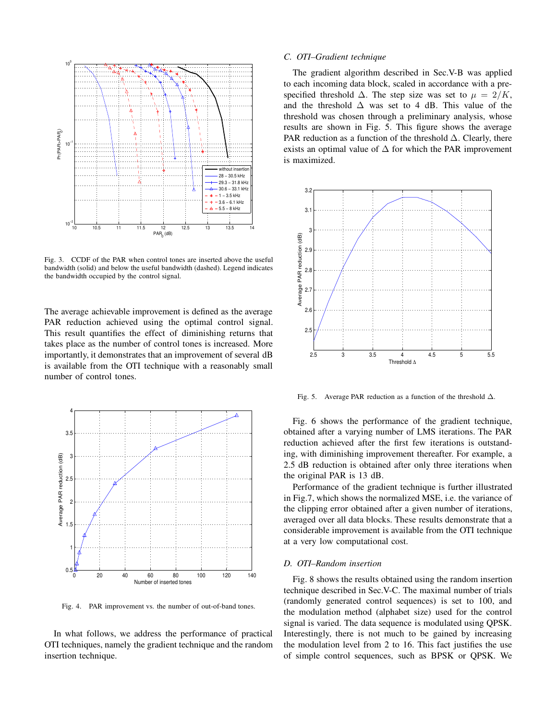

Fig. 3. CCDF of the PAR when control tones are inserted above the useful bandwidth (solid) and below the useful bandwidth (dashed). Legend indicates the bandwidth occupied by the control signal.

The average achievable improvement is defined as the average PAR reduction achieved using the optimal control signal. This result quantifies the effect of diminishing returns that takes place as the number of control tones is increased. More importantly, it demonstrates that an improvement of several dB is available from the OTI technique with a reasonably small number of control tones.



Fig. 4. PAR improvement vs. the number of out-of-band tones.

In what follows, we address the performance of practical OTI techniques, namely the gradient technique and the random insertion technique.

### C. OTI–Gradient technique

The gradient algorithm described in Sec.V-B was applied to each incoming data block, scaled in accordance with a prespecified threshold  $\Delta$ . The step size was set to  $\mu = 2/K$ , and the threshold  $\Delta$  was set to 4 dB. This value of the threshold was chosen through a preliminary analysis, whose results are shown in Fig. 5. This figure shows the average PAR reduction as a function of the threshold  $\Delta$ . Clearly, there exists an optimal value of  $\Delta$  for which the PAR improvement is maximized.



Fig. 5. Average PAR reduction as a function of the threshold  $\Delta$ .

Fig. 6 shows the performance of the gradient technique, obtained after a varying number of LMS iterations. The PAR reduction achieved after the first few iterations is outstanding, with diminishing improvement thereafter. For example, a 2.5 dB reduction is obtained after only three iterations when the original PAR is 13 dB.

Performance of the gradient technique is further illustrated in Fig.7, which shows the normalized MSE, i.e. the variance of the clipping error obtained after a given number of iterations, averaged over all data blocks. These results demonstrate that a considerable improvement is available from the OTI technique at a very low computational cost.

#### D. OTI–Random insertion

Fig. 8 shows the results obtained using the random insertion technique described in Sec.V-C. The maximal number of trials (randomly generated control sequences) is set to 100, and the modulation method (alphabet size) used for the control signal is varied. The data sequence is modulated using QPSK. Interestingly, there is not much to be gained by increasing the modulation level from 2 to 16. This fact justifies the use of simple control sequences, such as BPSK or QPSK. We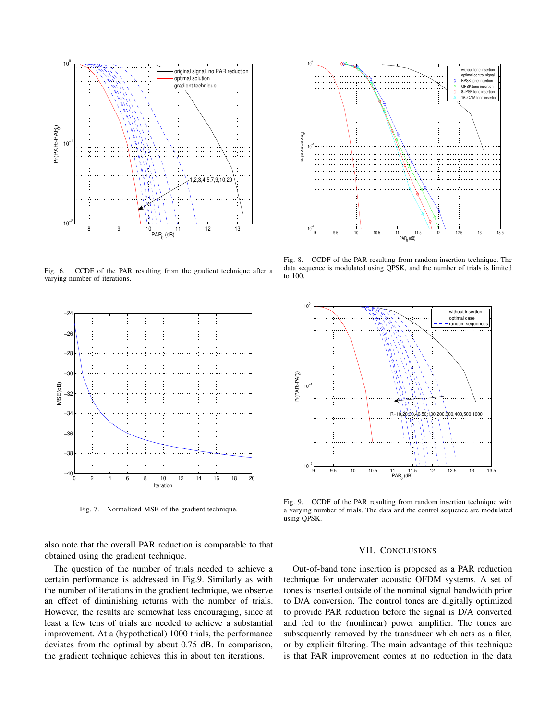

Fig. 6. CCDF of the PAR resulting from the gradient technique after a varying number of iterations.



Fig. 7. Normalized MSE of the gradient technique.

also note that the overall PAR reduction is comparable to that obtained using the gradient technique.

The question of the number of trials needed to achieve a certain performance is addressed in Fig.9. Similarly as with the number of iterations in the gradient technique, we observe an effect of diminishing returns with the number of trials. However, the results are somewhat less encouraging, since at least a few tens of trials are needed to achieve a substantial improvement. At a (hypothetical) 1000 trials, the performance deviates from the optimal by about 0.75 dB. In comparison, the gradient technique achieves this in about ten iterations.



Fig. 8. CCDF of the PAR resulting from random insertion technique. The data sequence is modulated using QPSK, and the number of trials is limited to 100.



Fig. 9. CCDF of the PAR resulting from random insertion technique with a varying number of trials. The data and the control sequence are modulated using QPSK.

## VII. CONCLUSIONS

Out-of-band tone insertion is proposed as a PAR reduction technique for underwater acoustic OFDM systems. A set of tones is inserted outside of the nominal signal bandwidth prior to D/A conversion. The control tones are digitally optimized to provide PAR reduction before the signal is D/A converted and fed to the (nonlinear) power amplifier. The tones are subsequently removed by the transducer which acts as a filer, or by explicit filtering. The main advantage of this technique is that PAR improvement comes at no reduction in the data